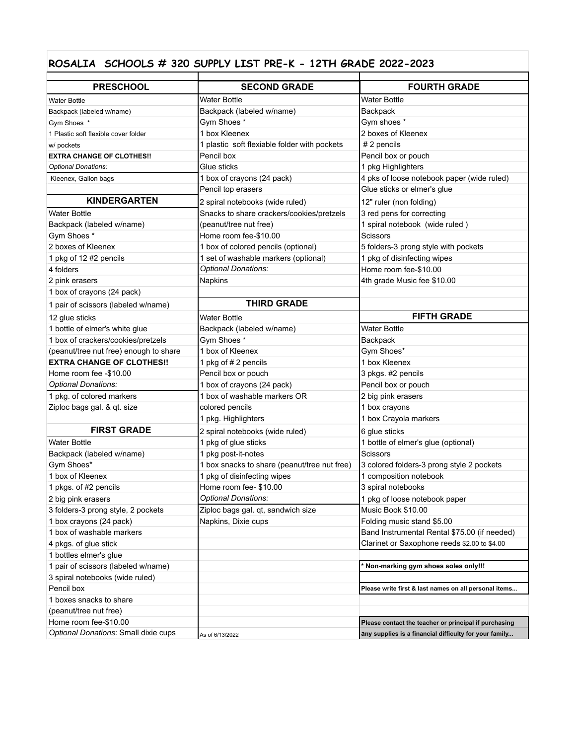## **ROSALIA SCHOOLS # 320 SUPPLY LIST PRE-K - 12TH GRADE 2022-2023**

| <b>PRESCHOOL</b>                       | <b>SECOND GRADE</b>                          | <b>FOURTH GRADE</b>                                    |
|----------------------------------------|----------------------------------------------|--------------------------------------------------------|
| <b>Water Bottle</b>                    | <b>Water Bottle</b>                          | <b>Water Bottle</b>                                    |
| Backpack (labeled w/name)              | Backpack (labeled w/name)                    | Backpack                                               |
| Gym Shoes *                            | Gym Shoes *                                  | Gym shoes *                                            |
| 1 Plastic soft flexible cover folder   | 1 box Kleenex                                | 2 boxes of Kleenex                                     |
| w/ pockets                             | 1 plastic soft flexiable folder with pockets | # 2 pencils                                            |
| <b>EXTRA CHANGE OF CLOTHES!!</b>       | Pencil box                                   | Pencil box or pouch                                    |
| Optional Donations:                    | Glue sticks                                  | 1 pkg Highlighters                                     |
| Kleenex, Gallon bags                   | 1 box of crayons (24 pack)                   | 4 pks of loose notebook paper (wide ruled)             |
|                                        | Pencil top erasers                           | Glue sticks or elmer's glue                            |
| <b>KINDERGARTEN</b>                    | 2 spiral notebooks (wide ruled)              | 12" ruler (non folding)                                |
| <b>Water Bottle</b>                    | Snacks to share crackers/cookies/pretzels    | 3 red pens for correcting                              |
| Backpack (labeled w/name)              | (peanut/tree nut free)                       | 1 spiral notebook (wide ruled)                         |
| Gym Shoes *                            | Home room fee-\$10.00                        | Scissors                                               |
| 2 boxes of Kleenex                     | 1 box of colored pencils (optional)          | 5 folders-3 prong style with pockets                   |
| 1 pkg of 12 #2 pencils                 | 1 set of washable markers (optional)         | 1 pkg of disinfecting wipes                            |
| 4 folders                              | Optional Donations:                          | Home room fee-\$10.00                                  |
| 2 pink erasers                         | Napkins                                      | 4th grade Music fee \$10.00                            |
| 1 box of crayons (24 pack)             |                                              |                                                        |
| 1 pair of scissors (labeled w/name)    | <b>THIRD GRADE</b>                           |                                                        |
| 12 glue sticks                         | <b>Water Bottle</b>                          | <b>FIFTH GRADE</b>                                     |
| 1 bottle of elmer's white glue         | Backpack (labeled w/name)                    | <b>Water Bottle</b>                                    |
| 1 box of crackers/cookies/pretzels     | Gym Shoes *                                  | Backpack                                               |
| (peanut/tree nut free) enough to share | 1 box of Kleenex                             | Gym Shoes*                                             |
| <b>EXTRA CHANGE OF CLOTHES!!</b>       | 1 pkg of #2 pencils                          | 1 box Kleenex                                          |
| Home room fee -\$10.00                 | Pencil box or pouch                          | 3 pkgs. #2 pencils                                     |
| Optional Donations:                    | 1 box of crayons (24 pack)                   | Pencil box or pouch                                    |
| 1 pkg. of colored markers              | 1 box of washable markers OR                 | 2 big pink erasers                                     |
| Ziploc bags gal. & qt. size            | colored pencils                              | 1 box crayons                                          |
|                                        | 1 pkg. Highlighters                          | 1 box Crayola markers                                  |
| <b>FIRST GRADE</b>                     | 2 spiral notebooks (wide ruled)              | 6 glue sticks                                          |
| <b>Water Bottle</b>                    | 1 pkg of glue sticks                         | 1 bottle of elmer's glue (optional)                    |
| Backpack (labeled w/name)              | 1 pkg post-it-notes                          | <b>Scissors</b>                                        |
| Gym Shoes*                             | 1 box snacks to share (peanut/tree nut free) | 3 colored folders-3 prong style 2 pockets              |
| 1 box of Kleenex                       | 1 pkg of disinfecting wipes                  | 1 composition notebook                                 |
| 1 pkgs. of #2 pencils                  | Home room fee-\$10.00                        | 3 spiral notebooks                                     |
| 2 big pink erasers                     | Optional Donations:                          | 1 pkg of loose notebook paper                          |
| 3 folders-3 prong style, 2 pockets     | Ziploc bags gal. qt, sandwich size           | Music Book \$10.00                                     |
| 1 box crayons (24 pack)                | Napkins, Dixie cups                          | Folding music stand \$5.00                             |
| 1 box of washable markers              |                                              | Band Instrumental Rental \$75.00 (if needed)           |
| 4 pkgs. of glue stick                  |                                              | Clarinet or Saxophone reeds \$2.00 to \$4.00           |
| 1 bottles elmer's glue                 |                                              |                                                        |
| 1 pair of scissors (labeled w/name)    |                                              | Non-marking gym shoes soles only!!!                    |
| 3 spiral notebooks (wide ruled)        |                                              |                                                        |
| Pencil box                             |                                              | Please write first & last names on all personal items  |
| 1 boxes snacks to share                |                                              |                                                        |
| (peanut/tree nut free)                 |                                              |                                                        |
| Home room fee-\$10.00                  |                                              | Please contact the teacher or principal if purchasing  |
| Optional Donations: Small dixie cups   | As of 6/13/2022                              | any supplies is a financial difficulty for your family |